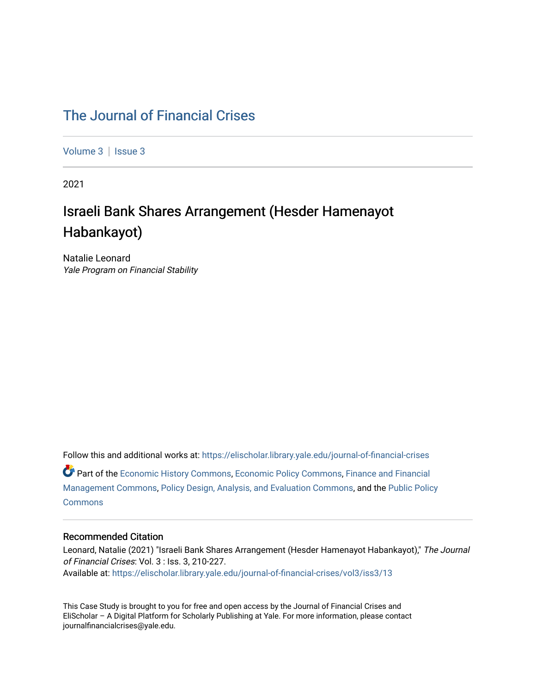# [The Journal of Financial Crises](https://elischolar.library.yale.edu/journal-of-financial-crises)

[Volume 3](https://elischolar.library.yale.edu/journal-of-financial-crises/vol3) | Issue 3

2021

# Israeli Bank Shares Arrangement (Hesder Hamenayot Habankayot)

Natalie Leonard Yale Program on Financial Stability

Follow this and additional works at: [https://elischolar.library.yale.edu/journal-of-financial-crises](https://elischolar.library.yale.edu/journal-of-financial-crises?utm_source=elischolar.library.yale.edu%2Fjournal-of-financial-crises%2Fvol3%2Fiss3%2F13&utm_medium=PDF&utm_campaign=PDFCoverPages)  Part of the [Economic History Commons](http://network.bepress.com/hgg/discipline/343?utm_source=elischolar.library.yale.edu%2Fjournal-of-financial-crises%2Fvol3%2Fiss3%2F13&utm_medium=PDF&utm_campaign=PDFCoverPages), [Economic Policy Commons,](http://network.bepress.com/hgg/discipline/1025?utm_source=elischolar.library.yale.edu%2Fjournal-of-financial-crises%2Fvol3%2Fiss3%2F13&utm_medium=PDF&utm_campaign=PDFCoverPages) [Finance and Financial](http://network.bepress.com/hgg/discipline/631?utm_source=elischolar.library.yale.edu%2Fjournal-of-financial-crises%2Fvol3%2Fiss3%2F13&utm_medium=PDF&utm_campaign=PDFCoverPages)  [Management Commons](http://network.bepress.com/hgg/discipline/631?utm_source=elischolar.library.yale.edu%2Fjournal-of-financial-crises%2Fvol3%2Fiss3%2F13&utm_medium=PDF&utm_campaign=PDFCoverPages), [Policy Design, Analysis, and Evaluation Commons,](http://network.bepress.com/hgg/discipline/1032?utm_source=elischolar.library.yale.edu%2Fjournal-of-financial-crises%2Fvol3%2Fiss3%2F13&utm_medium=PDF&utm_campaign=PDFCoverPages) and the [Public Policy](http://network.bepress.com/hgg/discipline/400?utm_source=elischolar.library.yale.edu%2Fjournal-of-financial-crises%2Fvol3%2Fiss3%2F13&utm_medium=PDF&utm_campaign=PDFCoverPages)  **[Commons](http://network.bepress.com/hgg/discipline/400?utm_source=elischolar.library.yale.edu%2Fjournal-of-financial-crises%2Fvol3%2Fiss3%2F13&utm_medium=PDF&utm_campaign=PDFCoverPages)** 

#### Recommended Citation

Leonard, Natalie (2021) "Israeli Bank Shares Arrangement (Hesder Hamenayot Habankayot)," The Journal of Financial Crises: Vol. 3 : Iss. 3, 210-227. Available at: [https://elischolar.library.yale.edu/journal-of-financial-crises/vol3/iss3/13](https://elischolar.library.yale.edu/journal-of-financial-crises/vol3/iss3/13?utm_source=elischolar.library.yale.edu%2Fjournal-of-financial-crises%2Fvol3%2Fiss3%2F13&utm_medium=PDF&utm_campaign=PDFCoverPages) 

This Case Study is brought to you for free and open access by the Journal of Financial Crises and EliScholar – A Digital Platform for Scholarly Publishing at Yale. For more information, please contact journalfinancialcrises@yale.edu.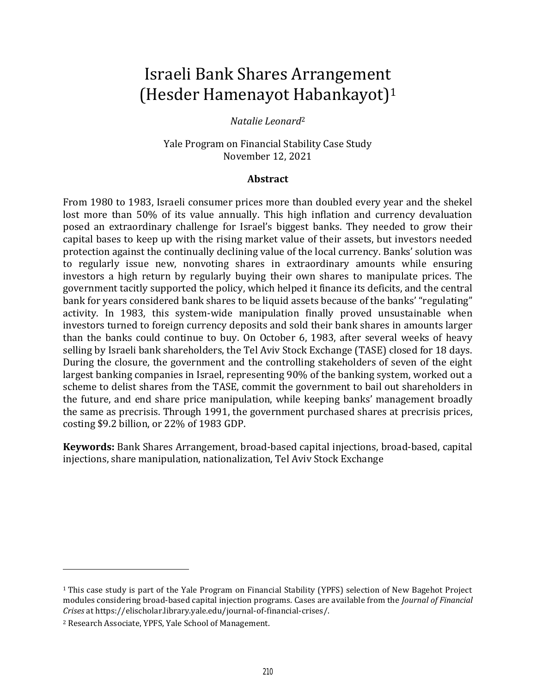# Israeli Bank Shares Arrangement (Hesder Hamenayot Habankayot)<sup>1</sup>

## *Natalie Leonard*<sup>2</sup>

Yale Program on Financial Stability Case Study November 12, 2021

#### **Abstract**

From 1980 to 1983, Israeli consumer prices more than doubled every year and the shekel lost more than 50% of its value annually. This high inflation and currency devaluation posed an extraordinary challenge for Israel's biggest banks. They needed to grow their capital bases to keep up with the rising market value of their assets, but investors needed protection against the continually declining value of the local currency. Banks' solution was to regularly issue new, nonvoting shares in extraordinary amounts while ensuring investors a high return by regularly buying their own shares to manipulate prices. The government tacitly supported the policy, which helped it finance its deficits, and the central bank for years considered bank shares to be liquid assets because of the banks' "regulating" activity. In 1983, this system-wide manipulation finally proved unsustainable when investors turned to foreign currency deposits and sold their bank shares in amounts larger than the banks could continue to buy. On October 6, 1983, after several weeks of heavy selling by Israeli bank shareholders, the Tel Aviv Stock Exchange (TASE) closed for 18 days. During the closure, the government and the controlling stakeholders of seven of the eight largest banking companies in Israel, representing 90% of the banking system, worked out a scheme to delist shares from the TASE, commit the government to bail out shareholders in the future, and end share price manipulation, while keeping banks' management broadly the same as precrisis. Through 1991, the government purchased shares at precrisis prices, costing \$9.2 billion, or 22% of 1983 GDP.

**Keywords:** Bank Shares Arrangement, broad-based capital injections, broad-based, capital injections, share manipulation, nationalization, Tel Aviv Stock Exchange

<sup>1</sup> This case study is part of the Yale Program on Financial Stability (YPFS) selection of New Bagehot Project modules considering broad-based capital injection programs. Cases are available from the *Journal of Financial Crises* at https://elischolar.library.yale.edu/journal-of-financial-crises/.

<sup>2</sup> Research Associate, YPFS, Yale School of Management.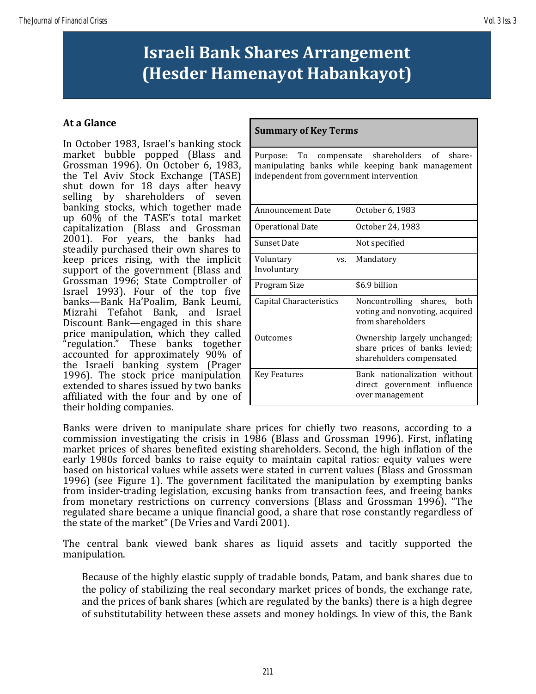# **Israeli Bank Shares Arrangement (Hesder Hamenayot Habankayot)**

# **At a Glance**

In October 1983, Israel's banking stock market bubble popped (Blass and Grossman 1996). On October 6, 1983, the Tel Aviv Stock Exchange (TASE) shut down for 18 days after heavy selling by shareholders of seven banking stocks, which together made up 60% of the TASE's total market capitalization (Blass and Grossman 2001). For years, the banks had steadily purchased their own shares to keep prices rising, with the implicit support of the government (Blass and Grossman 1996; State Comptroller of Israel 1993). Four of the top five banks—Bank Ha'Poalim, Bank Leumi, Mizrahi Tefahot Bank, and Israel Discount Bank—engaged in this share price manipulation, which they called "regulation." These banks together accounted for approximately 90% of the Israeli banking system (Prager 1996). The stock price manipulation extended to shares issued by two banks affiliated with the four and by one of their holding companies.

## **Summary of Key Terms**

Purpose: To compensate shareholders of sharemanipulating banks while keeping bank management independent from government intervention

| <b>Announcement Date</b>        | October 6, 1983                                                                           |  |  |  |  |
|---------------------------------|-------------------------------------------------------------------------------------------|--|--|--|--|
| Operational Date                | October 24, 1983                                                                          |  |  |  |  |
| <b>Sunset Date</b>              | Not specified                                                                             |  |  |  |  |
| Voluntary<br>VS.<br>Involuntary | Mandatory                                                                                 |  |  |  |  |
| Program Size                    | \$6.9 billion                                                                             |  |  |  |  |
| Capital Characteristics         | Noncontrolling shares,<br>both<br>voting and nonvoting, acquired<br>from shareholders     |  |  |  |  |
| Outcomes                        | Ownership largely unchanged;<br>share prices of banks levied;<br>shareholders compensated |  |  |  |  |
| Key Features                    | Bank nationalization without<br>direct government influence<br>over management            |  |  |  |  |

Banks were driven to manipulate share prices for chiefly two reasons, according to a commission investigating the crisis in 1986 (Blass and Grossman 1996). First, inflating market prices of shares benefited existing shareholders. Second, the high inflation of the early 1980s forced banks to raise equity to maintain capital ratios: equity values were based on historical values while assets were stated in current values (Blass and Grossman 1996) (see Figure 1). The government facilitated the manipulation by exempting banks from insider-trading legislation, excusing banks from transaction fees, and freeing banks from monetary restrictions on currency conversions (Blass and Grossman 1996). "The regulated share became a unique financial good, a share that rose constantly regardless of the state of the market" (De Vries and Vardi 2001).

The central bank viewed bank shares as liquid assets and tacitly supported the manipulation.

Because of the highly elastic supply of tradable bonds, Patam, and bank shares due to the policy of stabilizing the real secondary market prices of bonds, the exchange rate, and the prices of bank shares (which are regulated by the banks) there is a high degree of substitutability between these assets and money holdings. In view of this, the Bank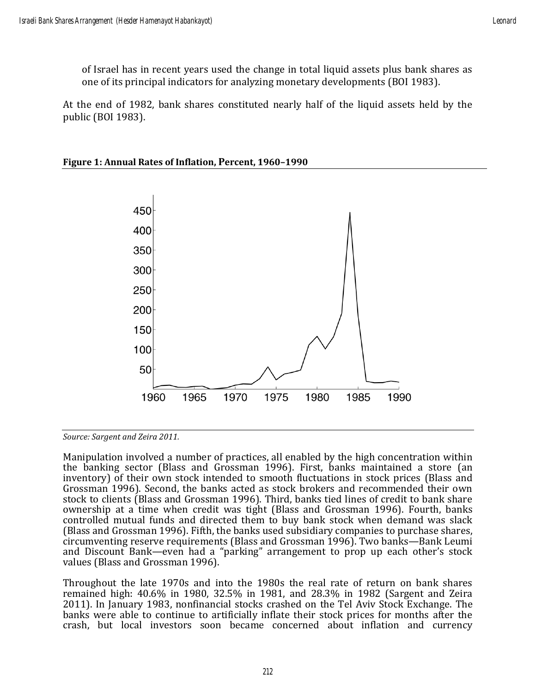of Israel has in recent years used the change in total liquid assets plus bank shares as one of its principal indicators for analyzing monetary developments (BOI 1983).

At the end of 1982, bank shares constituted nearly half of the liquid assets held by the public (BOI 1983).



### **Figure 1: Annual Rates of Inflation, Percent, 1960–1990**

*Source: Sargent and Zeira 2011.*

Manipulation involved a number of practices, all enabled by the high concentration within the banking sector (Blass and Grossman 1996). First, banks maintained a store (an inventory) of their own stock intended to smooth fluctuations in stock prices (Blass and Grossman 1996). Second, the banks acted as stock brokers and recommended their own stock to clients (Blass and Grossman 1996). Third, banks tied lines of credit to bank share ownership at a time when credit was tight (Blass and Grossman 1996). Fourth, banks controlled mutual funds and directed them to buy bank stock when demand was slack (Blass and Grossman 1996). Fifth, the banks used subsidiary companies to purchase shares, circumventing reserve requirements (Blass and Grossman 1996). Two banks—Bank Leumi and Discount Bank—even had a "parking" arrangement to prop up each other's stock values (Blass and Grossman 1996).

Throughout the late 1970s and into the 1980s the real rate of return on bank shares remained high: 40.6% in 1980, 32.5% in 1981, and 28.3% in 1982 (Sargent and Zeira 2011). In January 1983, nonfinancial stocks crashed on the Tel Aviv Stock Exchange. The banks were able to continue to artificially inflate their stock prices for months after the crash, but local investors soon became concerned about inflation and currency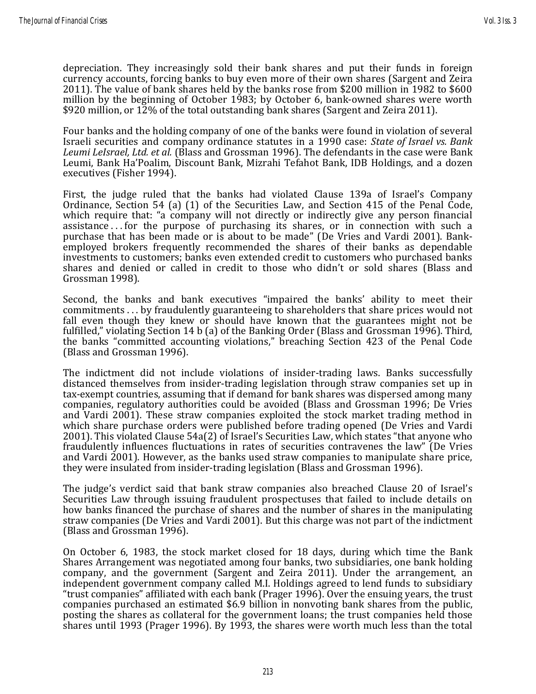depreciation. They increasingly sold their bank shares and put their funds in foreign currency accounts, forcing banks to buy even more of their own shares (Sargent and Zeira 2011). The value of bank shares held by the banks rose from \$200 million in 1982 to \$600 million by the beginning of October 1983; by October 6, bank-owned shares were worth \$920 million, or 12% of the total outstanding bank shares (Sargent and Zeira 2011).

Four banks and the holding company of one of the banks were found in violation of several Israeli securities and company ordinance statutes in a 1990 case: *State of Israel vs. Bank Leumi LeIsrael, Ltd. et al.* (Blass and Grossman 1996). The defendants in the case were Bank Leumi, Bank Ha'Poalim, Discount Bank, Mizrahi Tefahot Bank, IDB Holdings, and a dozen executives (Fisher 1994).

First, the judge ruled that the banks had violated Clause 139a of Israel's Company Ordinance, Section 54 (a) (1) of the Securities Law, and Section 415 of the Penal Code, which require that: "a company will not directly or indirectly give any person financial assistance ... for the purpose of purchasing its shares, or in connection with such a purchase that has been made or is about to be made" (De Vries and Vardi 2001). Bankemployed brokers frequently recommended the shares of their banks as dependable investments to customers; banks even extended credit to customers who purchased banks shares and denied or called in credit to those who didn't or sold shares (Blass and Grossman 1998).

Second, the banks and bank executives "impaired the banks' ability to meet their commitments . . . by fraudulently guaranteeing to shareholders that share prices would not fall even though they knew or should have known that the guarantees might not be fulfilled," violating Section 14 b (a) of the Banking Order (Blass and Grossman 1996). Third, the banks "committed accounting violations," breaching Section 423 of the Penal Code (Blass and Grossman 1996).

The indictment did not include violations of insider-trading laws. Banks successfully distanced themselves from insider-trading legislation through straw companies set up in tax-exempt countries, assuming that if demand for bank shares was dispersed among many companies, regulatory authorities could be avoided (Blass and Grossman 1996; De Vries and Vardi 2001). These straw companies exploited the stock market trading method in which share purchase orders were published before trading opened (De Vries and Vardi 2001). This violated Clause 54a(2) of Israel's Securities Law, which states "that anyone who fraudulently influences fluctuations in rates of securities contravenes the law" (De Vries and Vardi 2001). However, as the banks used straw companies to manipulate share price, they were insulated from insider-trading legislation (Blass and Grossman 1996).

The judge's verdict said that bank straw companies also breached Clause 20 of Israel's Securities Law through issuing fraudulent prospectuses that failed to include details on how banks financed the purchase of shares and the number of shares in the manipulating straw companies (De Vries and Vardi 2001). But this charge was not part of the indictment (Blass and Grossman 1996).

On October 6, 1983, the stock market closed for 18 days, during which time the Bank Shares Arrangement was negotiated among four banks, two subsidiaries, one bank holding company, and the government (Sargent and Zeira 2011). Under the arrangement, an independent government company called M.I. Holdings agreed to lend funds to subsidiary "trust companies" affiliated with each bank (Prager 1996). Over the ensuing years, the trust companies purchased an estimated \$6.9 billion in nonvoting bank shares from the public, posting the shares as collateral for the government loans; the trust companies held those shares until 1993 (Prager 1996). By 1993, the shares were worth much less than the total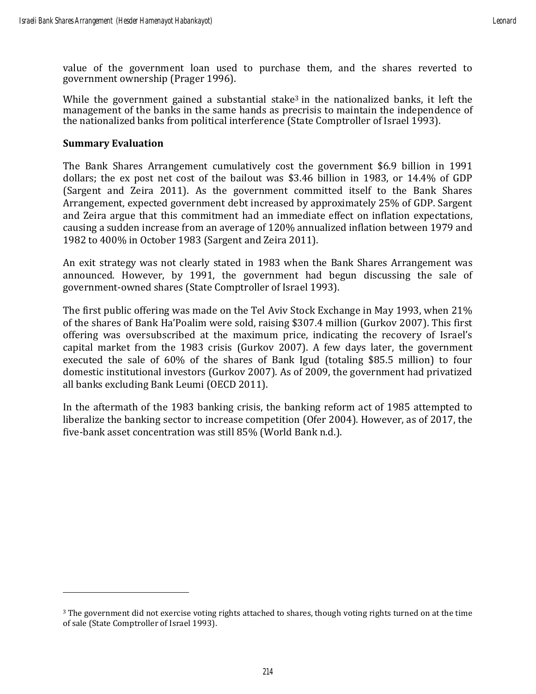value of the government loan used to purchase them, and the shares reverted to government ownership (Prager 1996).

While the government gained a substantial stake<sup>3</sup> in the nationalized banks, it left the management of the banks in the same hands as precrisis to maintain the independence of the nationalized banks from political interference (State Comptroller of Israel 1993).

### **Summary Evaluation**

The Bank Shares Arrangement cumulatively cost the government \$6.9 billion in 1991 dollars; the ex post net cost of the bailout was \$3.46 billion in 1983, or 14.4% of GDP (Sargent and Zeira 2011). As the government committed itself to the Bank Shares Arrangement, expected government debt increased by approximately 25% of GDP. Sargent and Zeira argue that this commitment had an immediate effect on inflation expectations, causing a sudden increase from an average of 120% annualized inflation between 1979 and 1982 to 400% in October 1983 (Sargent and Zeira 2011).

An exit strategy was not clearly stated in 1983 when the Bank Shares Arrangement was announced. However, by 1991, the government had begun discussing the sale of government-owned shares (State Comptroller of Israel 1993).

The first public offering was made on the Tel Aviv Stock Exchange in May 1993, when 21% of the shares of Bank Ha'Poalim were sold, raising \$307.4 million (Gurkov 2007). This first offering was oversubscribed at the maximum price, indicating the recovery of Israel's capital market from the 1983 crisis (Gurkov 2007). A few days later, the government executed the sale of 60% of the shares of Bank Igud (totaling \$85.5 million) to four domestic institutional investors (Gurkov 2007). As of 2009, the government had privatized all banks excluding Bank Leumi (OECD 2011).

In the aftermath of the 1983 banking crisis, the banking reform act of 1985 attempted to liberalize the banking sector to increase competition (Ofer 2004). However, as of 2017, the five-bank asset concentration was still 85% (World Bank n.d.).

<sup>3</sup> The government did not exercise voting rights attached to shares, though voting rights turned on at the time of sale (State Comptroller of Israel 1993).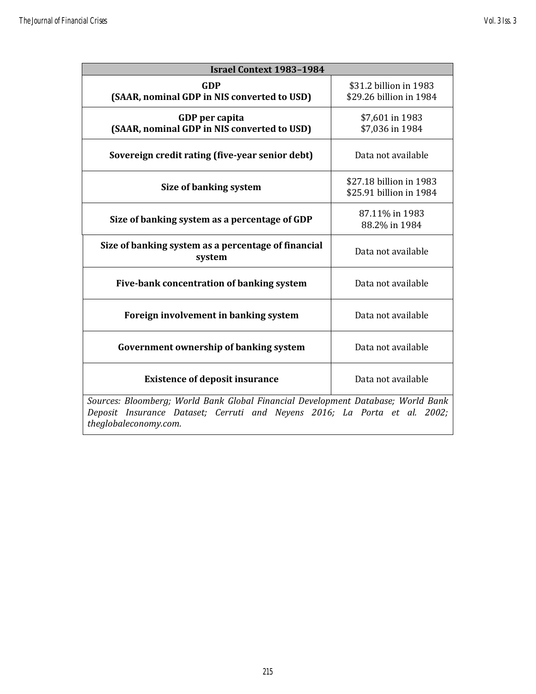| <b>Israel Context 1983-1984</b>                                                  |                                                    |  |  |  |  |  |
|----------------------------------------------------------------------------------|----------------------------------------------------|--|--|--|--|--|
| <b>GDP</b><br>(SAAR, nominal GDP in NIS converted to USD)                        | \$31.2 billion in 1983<br>\$29.26 billion in 1984  |  |  |  |  |  |
| GDP per capita<br>(SAAR, nominal GDP in NIS converted to USD)                    | \$7,601 in 1983<br>\$7,036 in 1984                 |  |  |  |  |  |
| Sovereign credit rating (five-year senior debt)                                  | Data not available                                 |  |  |  |  |  |
| Size of banking system                                                           | \$27.18 billion in 1983<br>\$25.91 billion in 1984 |  |  |  |  |  |
| Size of banking system as a percentage of GDP                                    | 87.11% in 1983<br>88.2% in 1984                    |  |  |  |  |  |
| Size of banking system as a percentage of financial<br>system                    | Data not available                                 |  |  |  |  |  |
| Five-bank concentration of banking system                                        | Data not available                                 |  |  |  |  |  |
| Foreign involvement in banking system                                            | Data not available                                 |  |  |  |  |  |
| Government ownership of banking system                                           | Data not available                                 |  |  |  |  |  |
| <b>Existence of deposit insurance</b>                                            | Data not available                                 |  |  |  |  |  |
| Sources: Bloomberg; World Bank Global Financial Development Database; World Bank |                                                    |  |  |  |  |  |

*Deposit Insurance Dataset; Cerruti and Neyens 2016; La Porta et al. 2002; theglobaleconomy.com.*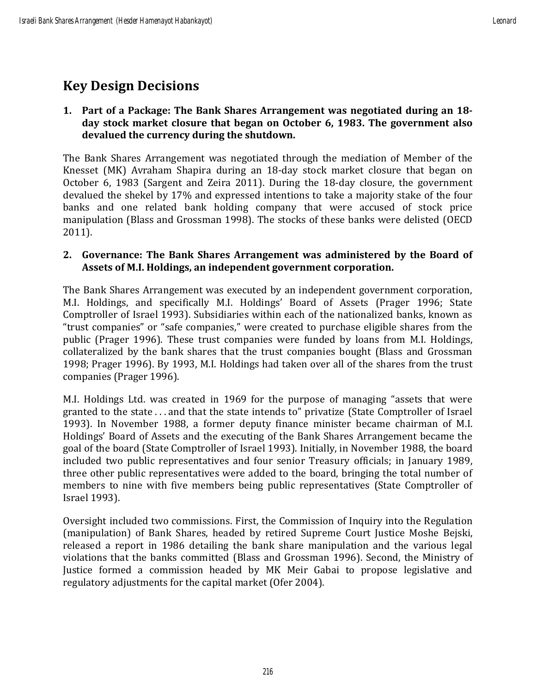# **Key Design Decisions**

# **1. Part of a Package: The Bank Shares Arrangement was negotiated during an 18 day stock market closure that began on October 6, 1983. The government also devalued the currency during the shutdown.**

The Bank Shares Arrangement was negotiated through the mediation of Member of the Knesset (MK) Avraham Shapira during an 18-day stock market closure that began on October 6, 1983 (Sargent and Zeira 2011). During the 18-day closure, the government devalued the shekel by 17% and expressed intentions to take a majority stake of the four banks and one related bank holding company that were accused of stock price manipulation (Blass and Grossman 1998). The stocks of these banks were delisted (OECD 2011).

# **2. Governance: The Bank Shares Arrangement was administered by the Board of Assets of M.I. Holdings, an independent government corporation.**

The Bank Shares Arrangement was executed by an independent government corporation, M.I. Holdings, and specifically M.I. Holdings' Board of Assets (Prager 1996; State Comptroller of Israel 1993). Subsidiaries within each of the nationalized banks, known as "trust companies" or "safe companies," were created to purchase eligible shares from the public (Prager 1996). These trust companies were funded by loans from M.I. Holdings, collateralized by the bank shares that the trust companies bought (Blass and Grossman 1998; Prager 1996). By 1993, M.I. Holdings had taken over all of the shares from the trust companies (Prager 1996).

M.I. Holdings Ltd. was created in 1969 for the purpose of managing "assets that were granted to the state . . . and that the state intends to" privatize (State Comptroller of Israel 1993). In November 1988, a former deputy finance minister became chairman of M.I. Holdings' Board of Assets and the executing of the Bank Shares Arrangement became the goal of the board (State Comptroller of Israel 1993). Initially, in November 1988, the board included two public representatives and four senior Treasury officials; in January 1989, three other public representatives were added to the board, bringing the total number of members to nine with five members being public representatives (State Comptroller of Israel 1993).

Oversight included two commissions. First, the Commission of Inquiry into the Regulation (manipulation) of Bank Shares, headed by retired Supreme Court Justice Moshe Bejski, released a report in 1986 detailing the bank share manipulation and the various legal violations that the banks committed (Blass and Grossman 1996). Second, the Ministry of Justice formed a commission headed by MK Meir Gabai to propose legislative and regulatory adjustments for the capital market (Ofer 2004).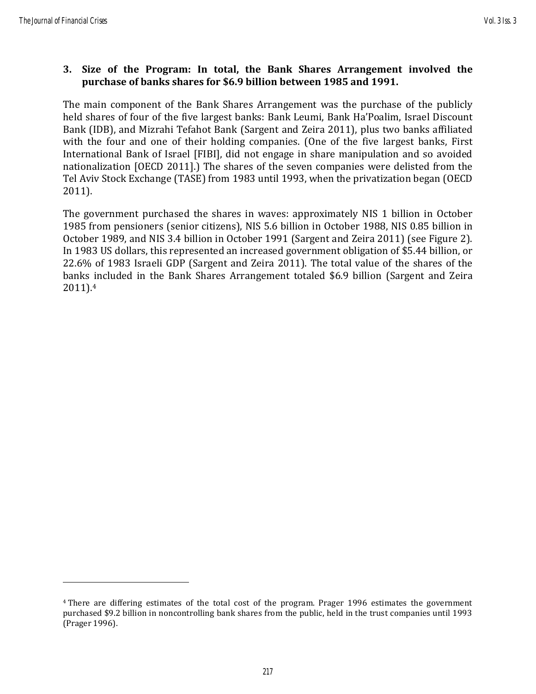# **3. Size of the Program: In total, the Bank Shares Arrangement involved the purchase of banks shares for \$6.9 billion between 1985 and 1991.**

The main component of the Bank Shares Arrangement was the purchase of the publicly held shares of four of the five largest banks: Bank Leumi, Bank Ha'Poalim, Israel Discount Bank (IDB), and Mizrahi Tefahot Bank (Sargent and Zeira 2011), plus two banks affiliated with the four and one of their holding companies. (One of the five largest banks, First International Bank of Israel [FIBI], did not engage in share manipulation and so avoided nationalization [OECD 2011].) The shares of the seven companies were delisted from the Tel Aviv Stock Exchange (TASE) from 1983 until 1993, when the privatization began (OECD 2011).

The government purchased the shares in waves: approximately NIS 1 billion in October 1985 from pensioners (senior citizens), NIS 5.6 billion in October 1988, NIS 0.85 billion in October 1989, and NIS 3.4 billion in October 1991 (Sargent and Zeira 2011) (see Figure 2). In 1983 US dollars, this represented an increased government obligation of \$5.44 billion, or 22.6% of 1983 Israeli GDP (Sargent and Zeira 2011). The total value of the shares of the banks included in the Bank Shares Arrangement totaled \$6.9 billion (Sargent and Zeira 2011). 4

<sup>4</sup> There are differing estimates of the total cost of the program. Prager 1996 estimates the government purchased \$9.2 billion in noncontrolling bank shares from the public, held in the trust companies until 1993 (Prager 1996).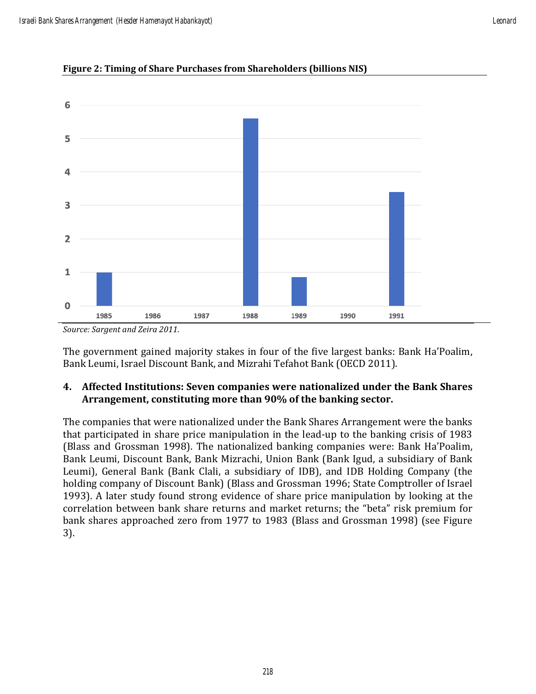

#### **Figure 2: Timing of Share Purchases from Shareholders (billions NIS)**

The government gained majority stakes in four of the five largest banks: Bank Ha'Poalim, Bank Leumi, Israel Discount Bank, and Mizrahi Tefahot Bank (OECD 2011).

# **4. Affected Institutions: Seven companies were nationalized under the Bank Shares Arrangement, constituting more than 90% of the banking sector.**

The companies that were nationalized under the Bank Shares Arrangement were the banks that participated in share price manipulation in the lead-up to the banking crisis of 1983 (Blass and Grossman 1998). The nationalized banking companies were: Bank Ha'Poalim, Bank Leumi, Discount Bank, Bank Mizrachi, Union Bank (Bank Igud, a subsidiary of Bank Leumi), General Bank (Bank Clali, a subsidiary of IDB), and IDB Holding Company (the holding company of Discount Bank) (Blass and Grossman 1996; State Comptroller of Israel 1993). A later study found strong evidence of share price manipulation by looking at the correlation between bank share returns and market returns; the "beta" risk premium for bank shares approached zero from 1977 to 1983 (Blass and Grossman 1998) (see Figure 3).

*Source: Sargent and Zeira 2011.*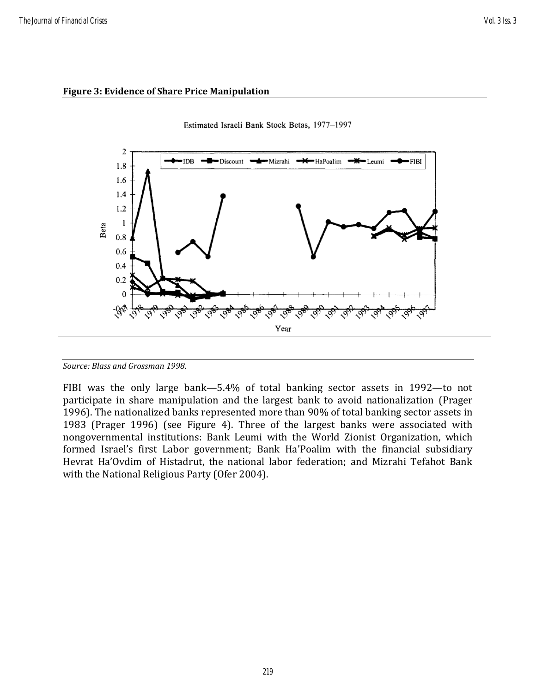#### **Figure 3: Evidence of Share Price Manipulation**





FIBI was the only large bank—5.4% of total banking sector assets in 1992—to not participate in share manipulation and the largest bank to avoid nationalization (Prager 1996). The nationalized banks represented more than 90% of total banking sector assets in 1983 (Prager 1996) (see Figure 4). Three of the largest banks were associated with nongovernmental institutions: Bank Leumi with the World Zionist Organization, which formed Israel's first Labor government; Bank Ha'Poalim with the financial subsidiary Hevrat Ha'Ovdim of Histadrut, the national labor federation; and Mizrahi Tefahot Bank with the National Religious Party (Ofer 2004).

*Source: Blass and Grossman 1998.*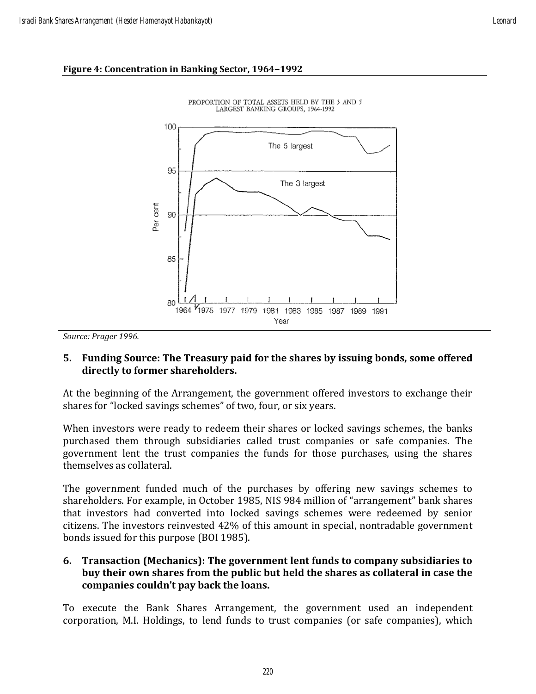## **Figure 4: Concentration in Banking Sector, 1964–1992**





*Source: Prager 1996.*

# **5. Funding Source: The Treasury paid for the shares by issuing bonds, some offered directly to former shareholders.**

At the beginning of the Arrangement, the government offered investors to exchange their shares for "locked savings schemes" of two, four, or six years.

When investors were ready to redeem their shares or locked savings schemes, the banks purchased them through subsidiaries called trust companies or safe companies. The government lent the trust companies the funds for those purchases, using the shares themselves as collateral.

The government funded much of the purchases by offering new savings schemes to shareholders. For example, in October 1985, NIS 984 million of "arrangement" bank shares that investors had converted into locked savings schemes were redeemed by senior citizens. The investors reinvested 42% of this amount in special, nontradable government bonds issued for this purpose (BOI 1985).

# **6. Transaction (Mechanics): The government lent funds to company subsidiaries to buy their own shares from the public but held the shares as collateral in case the companies couldn't pay back the loans.**

To execute the Bank Shares Arrangement, the government used an independent corporation, M.I. Holdings, to lend funds to trust companies (or safe companies), which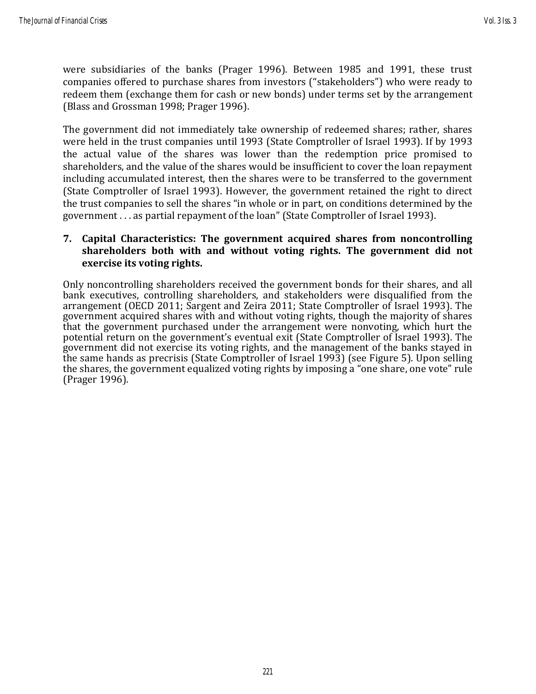were subsidiaries of the banks (Prager 1996). Between 1985 and 1991, these trust companies offered to purchase shares from investors ("stakeholders") who were ready to redeem them (exchange them for cash or new bonds) under terms set by the arrangement (Blass and Grossman 1998; Prager 1996).

The government did not immediately take ownership of redeemed shares; rather, shares were held in the trust companies until 1993 (State Comptroller of Israel 1993). If by 1993 the actual value of the shares was lower than the redemption price promised to shareholders, and the value of the shares would be insufficient to cover the loan repayment including accumulated interest, then the shares were to be transferred to the government (State Comptroller of Israel 1993). However, the government retained the right to direct the trust companies to sell the shares "in whole or in part, on conditions determined by the government . . . as partial repayment of the loan" (State Comptroller of Israel 1993).

# **7. Capital Characteristics: The government acquired shares from noncontrolling shareholders both with and without voting rights. The government did not exercise its voting rights.**

Only noncontrolling shareholders received the government bonds for their shares, and all bank executives, controlling shareholders, and stakeholders were disqualified from the arrangement (OECD 2011; Sargent and Zeira 2011; State Comptroller of Israel 1993). The government acquired shares with and without voting rights, though the majority of shares that the government purchased under the arrangement were nonvoting, which hurt the potential return on the government's eventual exit (State Comptroller of Israel 1993). The government did not exercise its voting rights, and the management of the banks stayed in the same hands as precrisis (State Comptroller of Israel 1993) (see Figure 5). Upon selling the shares, the government equalized voting rights by imposing a "one share, one vote" rule (Prager 1996).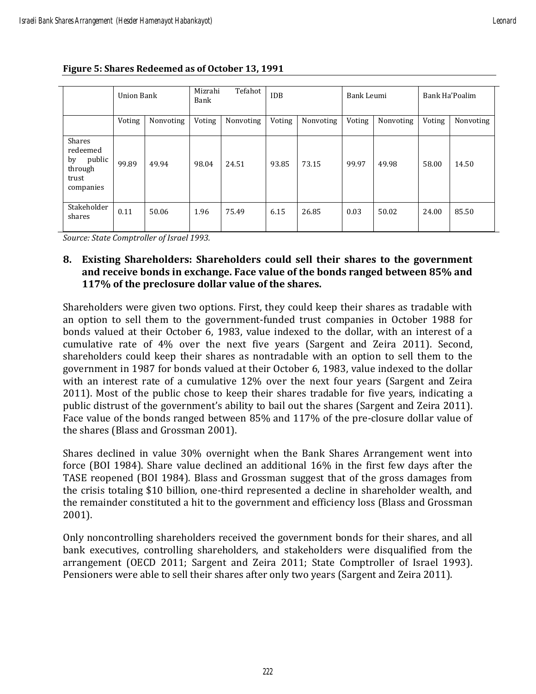|                                                                     | <b>Union Bank</b> |           | Mizrahi<br>Tefahot<br>Bank |           | <b>IDB</b> |           | Bank Leumi |           | Bank Ha'Poalim |           |
|---------------------------------------------------------------------|-------------------|-----------|----------------------------|-----------|------------|-----------|------------|-----------|----------------|-----------|
|                                                                     | Voting            | Nonvoting | Voting                     | Nonvoting | Voting     | Nonvoting | Voting     | Nonvoting | Voting         | Nonvoting |
| Shares<br>redeemed<br>public<br>by<br>through<br>trust<br>companies | 99.89             | 49.94     | 98.04                      | 24.51     | 93.85      | 73.15     | 99.97      | 49.98     | 58.00          | 14.50     |
| Stakeholder<br>shares                                               | 0.11              | 50.06     | 1.96                       | 75.49     | 6.15       | 26.85     | 0.03       | 50.02     | 24.00          | 85.50     |

**Figure 5: Shares Redeemed as of October 13, 1991**

*Source: State Comptroller of Israel 1993.*

**8. Existing Shareholders: Shareholders could sell their shares to the government and receive bonds in exchange. Face value of the bonds ranged between 85% and 117% of the preclosure dollar value of the shares.**

Shareholders were given two options. First, they could keep their shares as tradable with an option to sell them to the government-funded trust companies in October 1988 for bonds valued at their October 6, 1983, value indexed to the dollar, with an interest of a cumulative rate of 4% over the next five years (Sargent and Zeira 2011). Second, shareholders could keep their shares as nontradable with an option to sell them to the government in 1987 for bonds valued at their October 6, 1983, value indexed to the dollar with an interest rate of a cumulative 12% over the next four years (Sargent and Zeira 2011). Most of the public chose to keep their shares tradable for five years, indicating a public distrust of the government's ability to bail out the shares (Sargent and Zeira 2011). Face value of the bonds ranged between 85% and 117% of the pre-closure dollar value of the shares (Blass and Grossman 2001).

Shares declined in value 30% overnight when the Bank Shares Arrangement went into force (BOI 1984). Share value declined an additional 16% in the first few days after the TASE reopened (BOI 1984). Blass and Grossman suggest that of the gross damages from the crisis totaling \$10 billion, one-third represented a decline in shareholder wealth, and the remainder constituted a hit to the government and efficiency loss (Blass and Grossman 2001).

Only noncontrolling shareholders received the government bonds for their shares, and all bank executives, controlling shareholders, and stakeholders were disqualified from the arrangement (OECD 2011; Sargent and Zeira 2011; State Comptroller of Israel 1993). Pensioners were able to sell their shares after only two years (Sargent and Zeira 2011).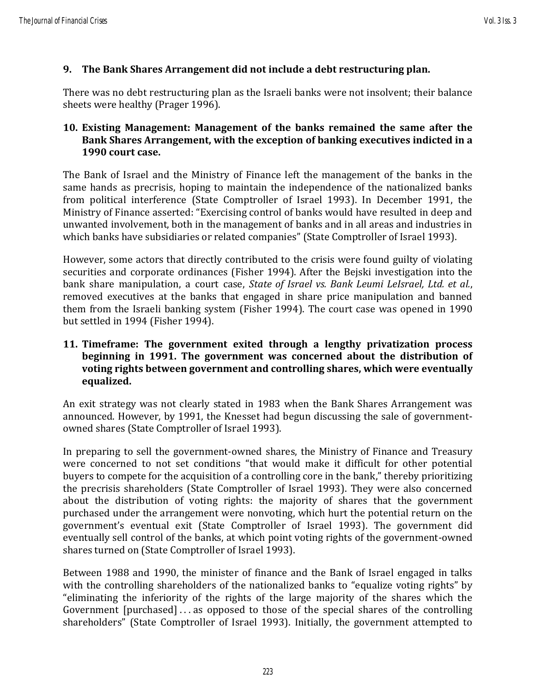# **9. The Bank Shares Arrangement did not include a debt restructuring plan.**

There was no debt restructuring plan as the Israeli banks were not insolvent; their balance sheets were healthy (Prager 1996).

# **10. Existing Management: Management of the banks remained the same after the Bank Shares Arrangement, with the exception of banking executives indicted in a 1990 court case.**

The Bank of Israel and the Ministry of Finance left the management of the banks in the same hands as precrisis, hoping to maintain the independence of the nationalized banks from political interference (State Comptroller of Israel 1993). In December 1991, the Ministry of Finance asserted: "Exercising control of banks would have resulted in deep and unwanted involvement, both in the management of banks and in all areas and industries in which banks have subsidiaries or related companies" (State Comptroller of Israel 1993).

However, some actors that directly contributed to the crisis were found guilty of violating securities and corporate ordinances (Fisher 1994). After the Bejski investigation into the bank share manipulation, a court case, *State of Israel vs. Bank Leumi LeIsrael, Ltd. et al.*, removed executives at the banks that engaged in share price manipulation and banned them from the Israeli banking system (Fisher 1994). The court case was opened in 1990 but settled in 1994 (Fisher 1994).

# **11. Timeframe: The government exited through a lengthy privatization process beginning in 1991. The government was concerned about the distribution of voting rights between government and controlling shares, which were eventually equalized.**

An exit strategy was not clearly stated in 1983 when the Bank Shares Arrangement was announced. However, by 1991, the Knesset had begun discussing the sale of governmentowned shares (State Comptroller of Israel 1993).

In preparing to sell the government-owned shares, the Ministry of Finance and Treasury were concerned to not set conditions "that would make it difficult for other potential buyers to compete for the acquisition of a controlling core in the bank," thereby prioritizing the precrisis shareholders (State Comptroller of Israel 1993). They were also concerned about the distribution of voting rights: the majority of shares that the government purchased under the arrangement were nonvoting, which hurt the potential return on the government's eventual exit (State Comptroller of Israel 1993). The government did eventually sell control of the banks, at which point voting rights of the government-owned shares turned on (State Comptroller of Israel 1993).

Between 1988 and 1990, the minister of finance and the Bank of Israel engaged in talks with the controlling shareholders of the nationalized banks to "equalize voting rights" by "eliminating the inferiority of the rights of the large majority of the shares which the Government [purchased] . . . as opposed to those of the special shares of the controlling shareholders" (State Comptroller of Israel 1993). Initially, the government attempted to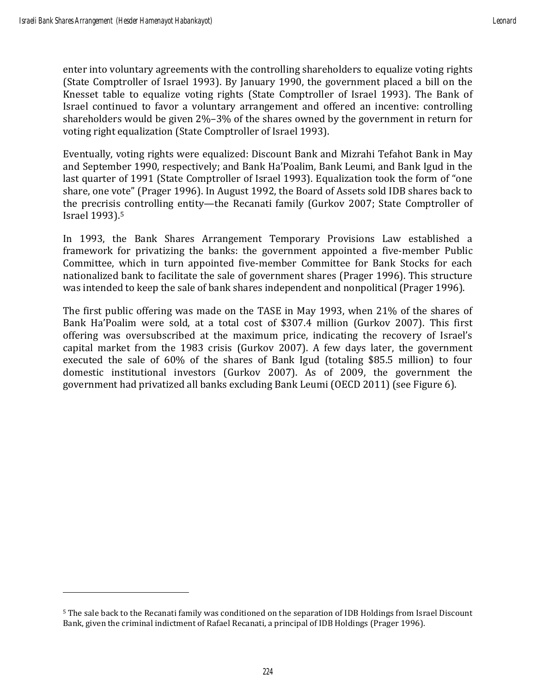enter into voluntary agreements with the controlling shareholders to equalize voting rights (State Comptroller of Israel 1993). By January 1990, the government placed a bill on the Knesset table to equalize voting rights (State Comptroller of Israel 1993). The Bank of Israel continued to favor a voluntary arrangement and offered an incentive: controlling shareholders would be given 2%–3% of the shares owned by the government in return for voting right equalization (State Comptroller of Israel 1993).

Eventually, voting rights were equalized: Discount Bank and Mizrahi Tefahot Bank in May and September 1990, respectively; and Bank Ha'Poalim, Bank Leumi, and Bank Igud in the last quarter of 1991 (State Comptroller of Israel 1993). Equalization took the form of "one share, one vote" (Prager 1996). In August 1992, the Board of Assets sold IDB shares back to the precrisis controlling entity—the Recanati family (Gurkov 2007; State Comptroller of Israel 1993). 5

In 1993, the Bank Shares Arrangement Temporary Provisions Law established a framework for privatizing the banks: the government appointed a five-member Public Committee, which in turn appointed five-member Committee for Bank Stocks for each nationalized bank to facilitate the sale of government shares (Prager 1996). This structure was intended to keep the sale of bank shares independent and nonpolitical (Prager 1996).

The first public offering was made on the TASE in May 1993, when 21% of the shares of Bank Ha'Poalim were sold, at a total cost of \$307.4 million (Gurkov 2007). This first offering was oversubscribed at the maximum price, indicating the recovery of Israel's capital market from the 1983 crisis (Gurkov 2007). A few days later, the government executed the sale of 60% of the shares of Bank Igud (totaling \$85.5 million) to four domestic institutional investors (Gurkov 2007). As of 2009, the government the government had privatized all banks excluding Bank Leumi (OECD 2011) (see Figure 6).

<sup>5</sup> The sale back to the Recanati family was conditioned on the separation of IDB Holdings from Israel Discount Bank, given the criminal indictment of Rafael Recanati, a principal of IDB Holdings (Prager 1996).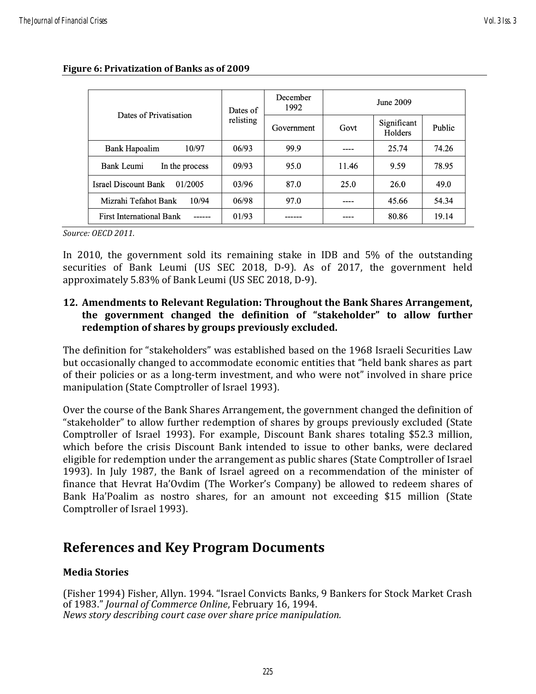| Dates of Privatisation                 | Dates of<br>relisting | December<br>1992 | June 2009 |                        |        |
|----------------------------------------|-----------------------|------------------|-----------|------------------------|--------|
|                                        |                       | Government       | Govt      | Significant<br>Holders | Public |
| 10/97<br>Bank Hapoalim                 | 06/93                 | 99.9             |           | 25.74                  | 74.26  |
| Bank Leumi<br>In the process           | 09/93                 | 95.0             | 11.46     | 9.59                   | 78.95  |
| 01/2005<br><b>Israel Discount Bank</b> | 03/96                 | 87.0             | 25.0      | 26.0                   | 49.0   |
| Mizrahi Tefahot Bank<br>10/94          | 06/98                 | 97.0             |           | 45.66                  | 54.34  |
| <b>First International Bank</b>        | 01/93                 |                  |           | 80.86                  | 19.14  |

#### **Figure 6: Privatization of Banks as of 2009**

*Source: OECD 2011.*

In 2010, the government sold its remaining stake in IDB and 5% of the outstanding securities of Bank Leumi (US SEC 2018, D-9). As of 2017, the government held approximately 5.83% of Bank Leumi (US SEC 2018, D-9).

# **12. Amendments to Relevant Regulation: Throughout the Bank Shares Arrangement, the government changed the definition of "stakeholder" to allow further redemption of shares by groups previously excluded.**

The definition for "stakeholders" was established based on the 1968 Israeli Securities Law but occasionally changed to accommodate economic entities that "held bank shares as part of their policies or as a long-term investment, and who were not" involved in share price manipulation (State Comptroller of Israel 1993).

Over the course of the Bank Shares Arrangement, the government changed the definition of "stakeholder" to allow further redemption of shares by groups previously excluded (State Comptroller of Israel 1993). For example, Discount Bank shares totaling \$52.3 million, which before the crisis Discount Bank intended to issue to other banks, were declared eligible for redemption under the arrangement as public shares (State Comptroller of Israel 1993). In July 1987, the Bank of Israel agreed on a recommendation of the minister of finance that Hevrat Ha'Ovdim (The Worker's Company) be allowed to redeem shares of Bank Ha'Poalim as nostro shares, for an amount not exceeding \$15 million (State Comptroller of Israel 1993).

# **References and Key Program Documents**

# **Media Stories**

(Fisher 1994) Fisher, Allyn. 1994. "Israel Convicts Banks, 9 Bankers for Stock Market Crash of 1983." *Journal of Commerce Online*, February 16, 1994. *News story describing court case over share price manipulation.*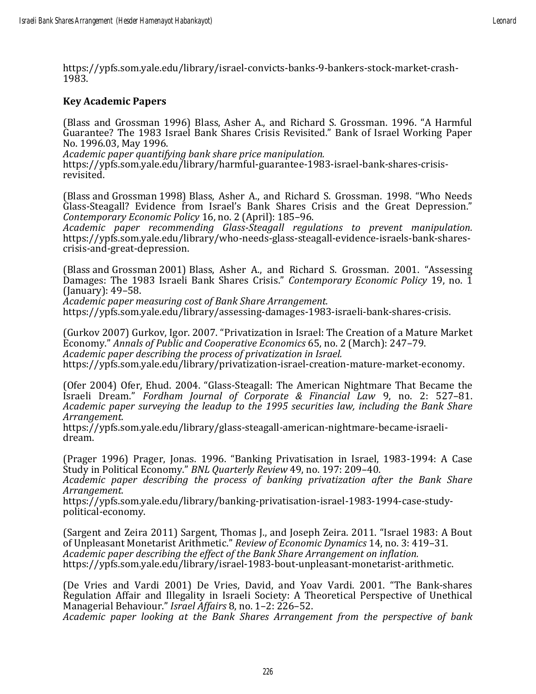https://ypfs.som.yale.edu/library/israel-convicts-banks-9-bankers-stock-market-crash-1983.

## **Key Academic Papers**

(Blass and Grossman 1996) Blass, Asher A., and Richard S. Grossman. 1996. "A Harmful Guarantee? The 1983 Israel Bank Shares Crisis Revisited." Bank of Israel Working Paper No. 1996.03, May 1996.

*Academic paper quantifying bank share price manipulation.*

https://ypfs.som.yale.edu/library/harmful-guarantee-1983-israel-bank-shares-crisisrevisited.

(Blass and Grossman 1998) Blass, Asher A., and Richard S. Grossman. 1998. "Who Needs Glass-Steagall? Evidence from Israel's Bank Shares Crisis and the Great Depression." *Contemporary Economic Policy* 16, no. 2 (April): 185–96.

*Academic paper recommending Glass-Steagall regulations to prevent manipulation.* https://ypfs.som.yale.edu/library/who-needs-glass-steagall-evidence-israels-bank-sharescrisis-and-great-depression.

(Blass and Grossman 2001) Blass, Asher A., and Richard S. Grossman. 2001. "Assessing Damages: The 1983 Israeli Bank Shares Crisis." *Contemporary Economic Policy* 19, no. 1 (January): 49–58.

*Academic paper measuring cost of Bank Share Arrangement.* https://ypfs.som.yale.edu/library/assessing-damages-1983-israeli-bank-shares-crisis.

(Gurkov 2007) Gurkov, Igor. 2007. "Privatization in Israel: The Creation of a Mature Market Economy." *Annals of Public and Cooperative Economics* 65, no. 2 (March): 247–79. *Academic paper describing the process of privatization in Israel.*

https://ypfs.som.yale.edu/library/privatization-israel-creation-mature-market-economy.

(Ofer 2004) Ofer, Ehud. 2004. "Glass-Steagall: The American Nightmare That Became the Israeli Dream." *Fordham Journal of Corporate & Financial Law* 9, no. 2: 527–81. *Academic paper surveying the leadup to the 1995 securities law, including the Bank Share Arrangement.*

https://ypfs.som.yale.edu/library/glass-steagall-american-nightmare-became-israelidream.

(Prager 1996) Prager, Jonas. 1996. "Banking Privatisation in Israel, 1983-1994: A Case Study in Political Economy." *BNL Quarterly Review* 49, no. 197: 209–40.

*Academic paper describing the process of banking privatization after the Bank Share Arrangement.*

https://ypfs.som.yale.edu/library/banking-privatisation-israel-1983-1994-case-studypolitical-economy.

(Sargent and Zeira 2011) Sargent, Thomas J., and Joseph Zeira. 2011. "Israel 1983: A Bout of Unpleasant Monetarist Arithmetic." *Review of Economic Dynamics* 14, no. 3: 419–31. *Academic paper describing the effect of the Bank Share Arrangement on inflation.* https://ypfs.som.yale.edu/library/israel-1983-bout-unpleasant-monetarist-arithmetic.

(De Vries and Vardi 2001) De Vries, David, and Yoav Vardi. 2001. "The Bank‐shares Regulation Affair and Illegality in Israeli Society: A Theoretical Perspective of Unethical Managerial Behaviour." *Israel Affairs* 8, no. 1–2: 226–52.

*Academic paper looking at the Bank Shares Arrangement from the perspective of bank*